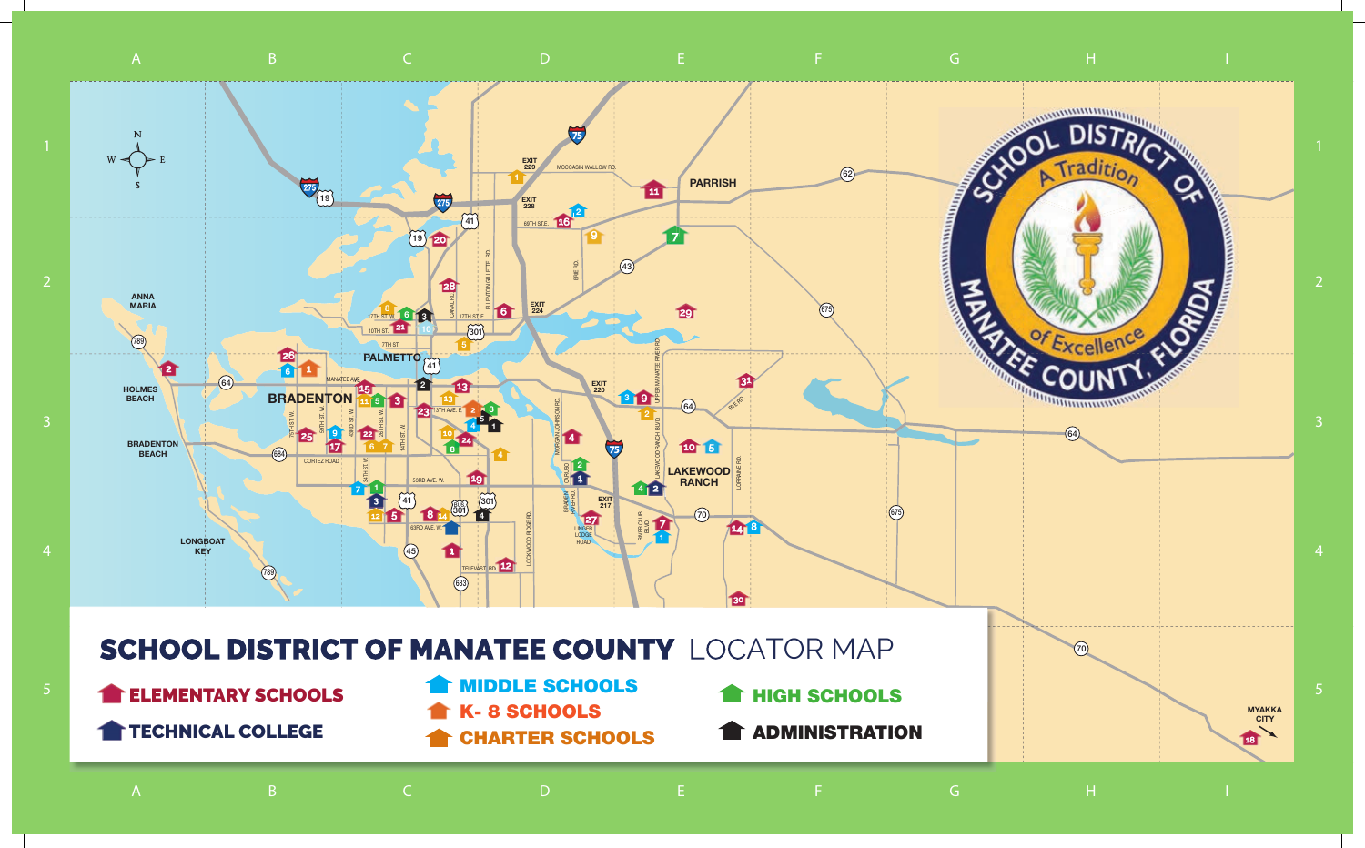